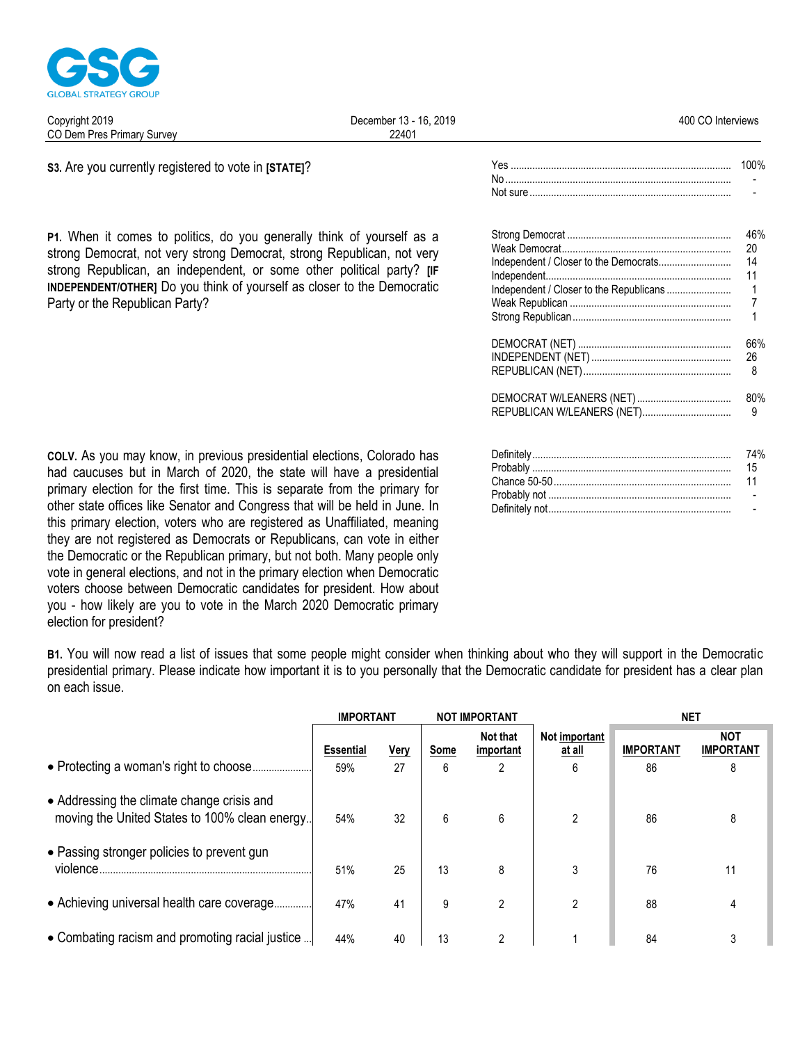

| 2019<br>Copyright<br>ີ                       | 2019<br>16.<br>December<br>∍ - | 400<br>Interviews |
|----------------------------------------------|--------------------------------|-------------------|
| rn.<br>Dem<br>, Pres Primary<br>Survev<br>UL | 22401                          |                   |
|                                              |                                |                   |

S3. Are you currently registered to vote in [STATE]?

P1. When it comes to politics, do you generally think of yourself as a strong Democrat, not very strong Democrat, strong Republican, not very strong Republican, an independent, or some other political party? [IF **INDEPENDENT/OTHERI** Do you think of yourself as closer to the Democratic Party or the Republican Party?

| 46% |
|-----|
| 20  |
| 14  |
| 11  |
|     |
|     |
|     |
| 66% |
| 26  |
|     |

 $N<sub>0</sub>$ Not sure

100%

| 80% |
|-----|
|     |

| 15 |
|----|
|    |
|    |
|    |

COLV. As you may know, in previous presidential elections, Colorado has had caucuses but in March of 2020, the state will have a presidential primary election for the first time. This is separate from the primary for other state offices like Senator and Congress that will be held in June. In this primary election, voters who are registered as Unaffiliated, meaning they are not registered as Democrats or Republicans, can vote in either the Democratic or the Republican primary, but not both. Many people only vote in general elections, and not in the primary election when Democratic voters choose between Democratic candidates for president. How about you - how likely are you to vote in the March 2020 Democratic primary election for president?

B1. You will now read a list of issues that some people might consider when thinking about who they will support in the Democratic presidential primary. Please indicate how important it is to you personally that the Democratic candidate for president has a clear plan on each issue.

|                                                                                             | <b>IMPORTANT</b>        |                   | <b>NOT IMPORTANT</b> |                            |                              |                        |                                |  |  |  | NET |
|---------------------------------------------------------------------------------------------|-------------------------|-------------------|----------------------|----------------------------|------------------------------|------------------------|--------------------------------|--|--|--|-----|
|                                                                                             | <b>Essential</b><br>59% | <u>Very</u><br>27 | Some<br>6            | Not that<br>important<br>2 | Not important<br>at all<br>6 | <b>IMPORTANT</b><br>86 | <b>NOT</b><br><b>IMPORTANT</b> |  |  |  |     |
| • Addressing the climate change crisis and<br>moving the United States to 100% clean energy | 54%                     | 32                | 6                    | 6                          | 2                            | 86                     | 8                              |  |  |  |     |
| • Passing stronger policies to prevent gun<br>violence.                                     | 51%                     | 25                | 13                   | 8                          | 3                            | 76                     | 11                             |  |  |  |     |
| • Achieving universal health care coverage                                                  | 47%                     | 41                | 9                    | 2                          | $\mathfrak{p}$               | 88                     |                                |  |  |  |     |
| • Combating racism and promoting racial justice                                             | 44%                     | 40                | 13                   | ∩                          |                              | 84                     |                                |  |  |  |     |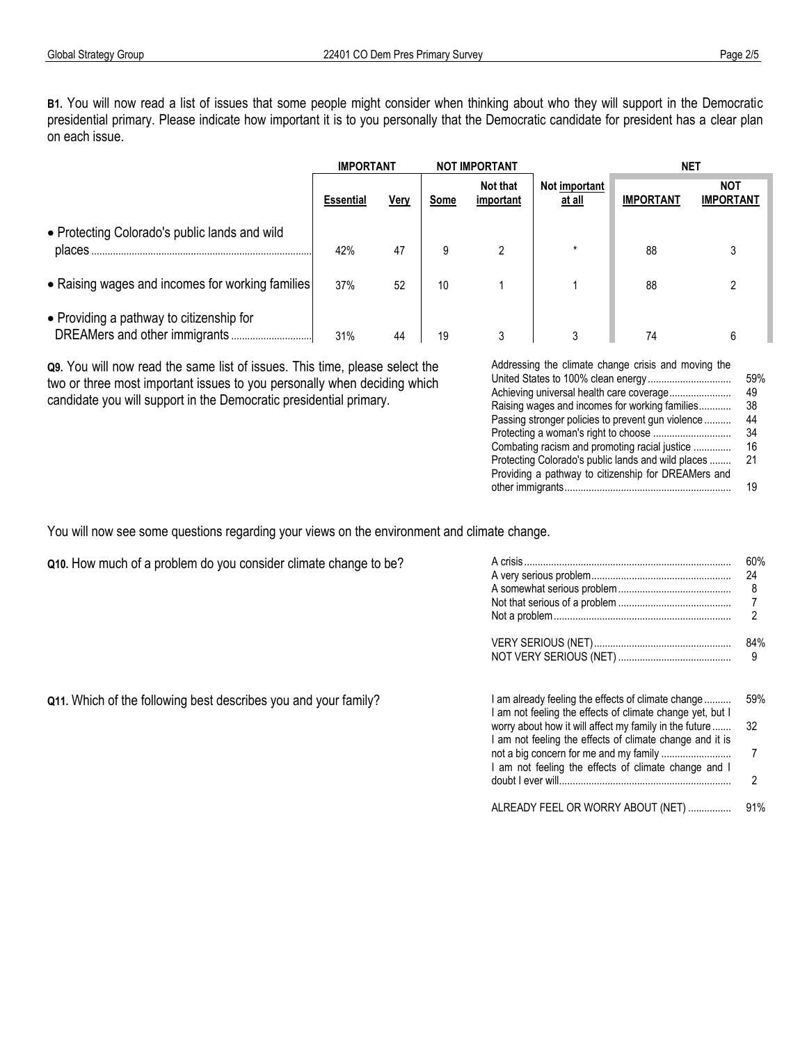**B1.** You will now read a list of issues that some people might consider when thinking about who they will support in the Democratic presidential primary. Please indicate how important it is to you personally that the Democratic candidate for president has a clear plan on each issue.

|                                                          | <b>IMPORTANT</b> |      |      | <b>NOT IMPORTANT</b>  |                         | <b>NET</b>       |                                |  |  |
|----------------------------------------------------------|------------------|------|------|-----------------------|-------------------------|------------------|--------------------------------|--|--|
|                                                          | <b>Essential</b> | Very | Some | Not that<br>important | Not important<br>at all | <b>IMPORTANT</b> | <b>NOT</b><br><b>IMPORTANT</b> |  |  |
| • Protecting Colorado's public lands and wild<br>places. | 42%              | 47   | 9    |                       | $\star$                 | 88               |                                |  |  |
| • Raising wages and incomes for working families         | 37%              | 52   | 10   |                       |                         | 88               |                                |  |  |
| • Providing a pathway to citizenship for                 | 31%              | 44   | 19   |                       |                         | 74               |                                |  |  |

**Q9.** You will now read the same list of issues. This time, please select the two or three most important issues to you personally when deciding which candidate you will support in the Democratic presidential primary.

| Addressing the climate change crisis and moving the |      |  |
|-----------------------------------------------------|------|--|
|                                                     | 59%  |  |
| Achieving universal health care coverage            | 49   |  |
| Raising wages and incomes for working families      | 38   |  |
| Passing stronger policies to prevent gun violence   | 44   |  |
|                                                     | 34   |  |
| Combating racism and promoting racial justice       | 16   |  |
| Protecting Colorado's public lands and wild places  | - 21 |  |
| Providing a pathway to citizenship for DREAMers and |      |  |
|                                                     | 19   |  |

You will now see some questions regarding your views on the environment and climate change.

| Q10. How much of a problem do you consider climate change to be? | A crisis                                                                                                                                                                  | 60%<br>24  |
|------------------------------------------------------------------|---------------------------------------------------------------------------------------------------------------------------------------------------------------------------|------------|
|                                                                  |                                                                                                                                                                           | 84%        |
| Q11. Which of the following best describes you and your family?  | I am already feeling the effects of climate change<br>I am not feeling the effects of climate change yet, but I<br>worry about how it will affect my family in the future | 59%<br>-32 |
|                                                                  | I am not feeling the effects of climate change and it is<br>am not feeling the effects of climate change and I                                                            |            |
|                                                                  | ALREADY FEEL OR WORRY ABOUT (NET)                                                                                                                                         |            |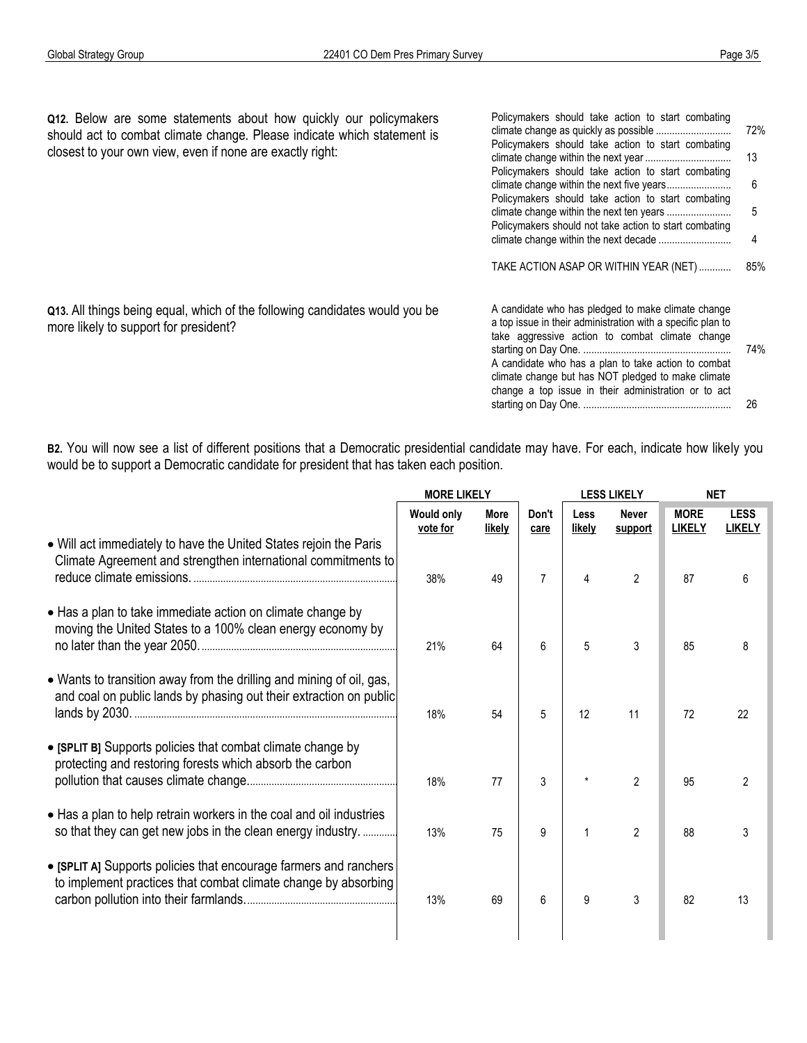more likely to support for president?

**Q12.** Below are some statements about how quickly our policymakers should act to combat climate change. Please indicate which statement is closest to your own view, even if none are exactly right:

**Q13.** All things being equal, which of the following candidates would you be

**B2.** You will now see a list of different positions that a Democratic presidential candidate may have. For each, indicate how likely you would be to support a Democratic candidate for president that has taken each position.

|                                                                                                                                            | <b>MORE LIKELY</b>            |                       | <b>LESS LIKELY</b> |                       |                         | <b>NET</b>                   |                              |  |
|--------------------------------------------------------------------------------------------------------------------------------------------|-------------------------------|-----------------------|--------------------|-----------------------|-------------------------|------------------------------|------------------------------|--|
|                                                                                                                                            | <b>Would only</b><br>vote for | <b>More</b><br>likely | Don't<br>care      | <b>Less</b><br>likely | <b>Never</b><br>support | <b>MORE</b><br><b>LIKELY</b> | <b>LESS</b><br><b>LIKELY</b> |  |
| • Will act immediately to have the United States rejoin the Paris<br>Climate Agreement and strengthen international commitments to         | 38%                           | 49                    | $\overline{7}$     | 4                     | $\overline{2}$          | 87                           | 6                            |  |
| • Has a plan to take immediate action on climate change by<br>moving the United States to a 100% clean energy economy by                   | 21%                           | 64                    | 6                  | 5                     | 3                       | 85                           | 8                            |  |
| • Wants to transition away from the drilling and mining of oil, gas,<br>and coal on public lands by phasing out their extraction on public | 18%                           | 54                    | 5                  | 12                    | 11                      | 72                           | 22                           |  |
| • [SPLIT B] Supports policies that combat climate change by<br>protecting and restoring forests which absorb the carbon                    | 18%                           | 77                    | 3                  |                       | $\overline{2}$          | 95                           | 2                            |  |
| • Has a plan to help retrain workers in the coal and oil industries<br>so that they can get new jobs in the clean energy industry.         | 13%                           | 75                    | 9                  |                       | $\overline{2}$          | 88                           | 3                            |  |
| • [SPLIT A] Supports policies that encourage farmers and ranchers<br>to implement practices that combat climate change by absorbing        | 13%                           | 69                    | 6                  | 9                     | 3                       | 82                           | 13                           |  |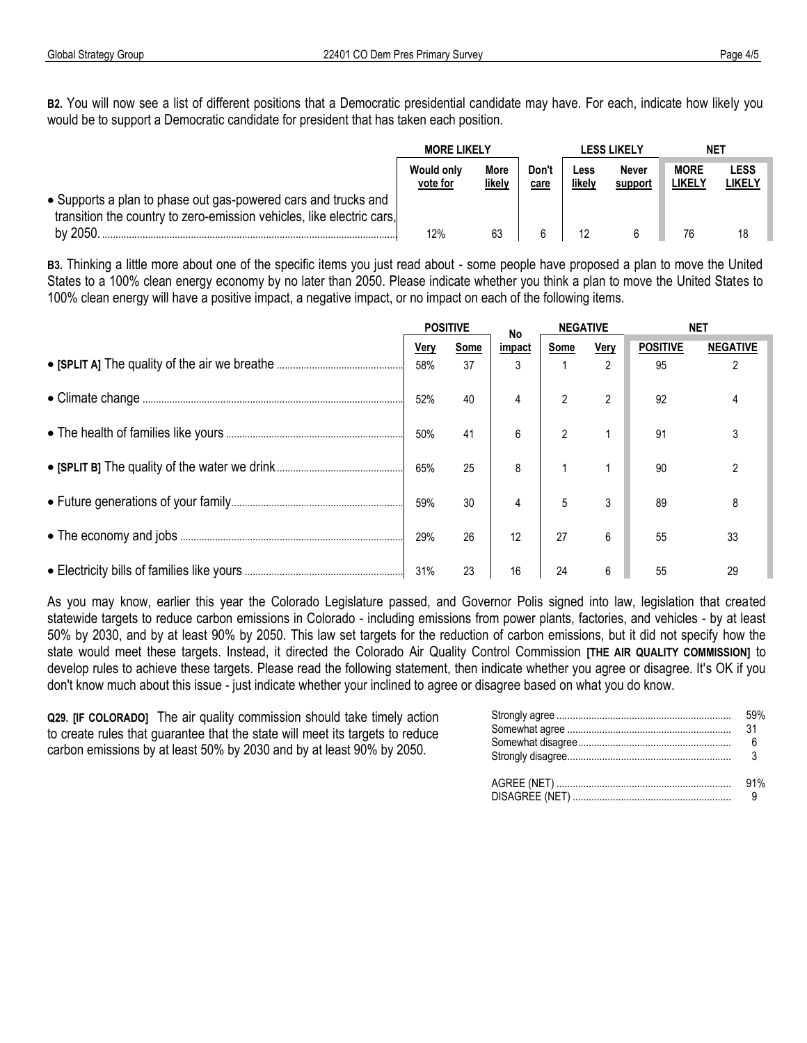**B2.** You will now see a list of different positions that a Democratic presidential candidate may have. For each, indicate how likely you would be to support a Democratic candidate for president that has taken each position.

|                                                                                                                                         |                               | <b>MORE LIKELY</b> |               |                | LESS LIKELY      | NET                          |                       |
|-----------------------------------------------------------------------------------------------------------------------------------------|-------------------------------|--------------------|---------------|----------------|------------------|------------------------------|-----------------------|
|                                                                                                                                         | <b>Would only</b><br>vote for | More<br>likely     | Don't<br>care | Less<br>likely | Never<br>support | <b>MORE</b><br><b>LIKELY</b> | <b>LESS</b><br>likely |
| • Supports a plan to phase out gas-powered cars and trucks and<br>transition the country to zero-emission vehicles, like electric cars, |                               |                    |               |                |                  |                              |                       |
| by 2050                                                                                                                                 | 12%                           | 63                 |               |                |                  |                              |                       |

**B3.** Thinking a little more about one of the specific items you just read about - some people have proposed a plan to move the United States to a 100% clean energy economy by no later than 2050. Please indicate whether you think a plan to move the United States to 100% clean energy will have a positive impact, a negative impact, or no impact on each of the following items.

|  | <b>POSITIVE</b> |            |             |           |                        |                       | No              |  | <b>NEGATIVE</b> |  | NET |  |
|--|-----------------|------------|-------------|-----------|------------------------|-----------------------|-----------------|--|-----------------|--|-----|--|
|  | Very<br>58%     | Some<br>37 | impact<br>3 | Some<br>1 | Very<br>$\overline{2}$ | <b>POSITIVE</b><br>95 | <b>NEGATIVE</b> |  |                 |  |     |  |
|  |                 |            |             |           |                        |                       |                 |  |                 |  |     |  |
|  | 52%             | 40         | 4           | 2         | 2                      | 92                    |                 |  |                 |  |     |  |
|  | 50%             | 41         | 6           | 2         |                        | 91                    |                 |  |                 |  |     |  |
|  | 65%             | 25         | 8           |           |                        | 90                    |                 |  |                 |  |     |  |
|  | 59%             | 30         | 4           | 5         | 3                      | 89                    |                 |  |                 |  |     |  |
|  | 29%             | 26         | 12          | 27        | 6                      | 55                    | 33              |  |                 |  |     |  |
|  | 31%             | 23         | 16          | 24        | 6                      | 55                    | 29              |  |                 |  |     |  |

As you may know, earlier this year the Colorado Legislature passed, and Governor Polis signed into law, legislation that created statewide targets to reduce carbon emissions in Colorado - including emissions from power plants, factories, and vehicles - by at least 50% by 2030, and by at least 90% by 2050. This law set targets for the reduction of carbon emissions, but it did not specify how the state would meet these targets. Instead, it directed the Colorado Air Quality Control Commission **[THE AIR QUALITY COMMISSION]** to develop rules to achieve these targets. Please read the following statement, then indicate whether you agree or disagree. It's OK if you don't know much about this issue - just indicate whether your inclined to agree or disagree based on what you do know.

**Q29. [IF COLORADO]** The air quality commission should take timely action to create rules that guarantee that the state will meet its targets to reduce carbon emissions by at least 50% by 2030 and by at least 90% by 2050.